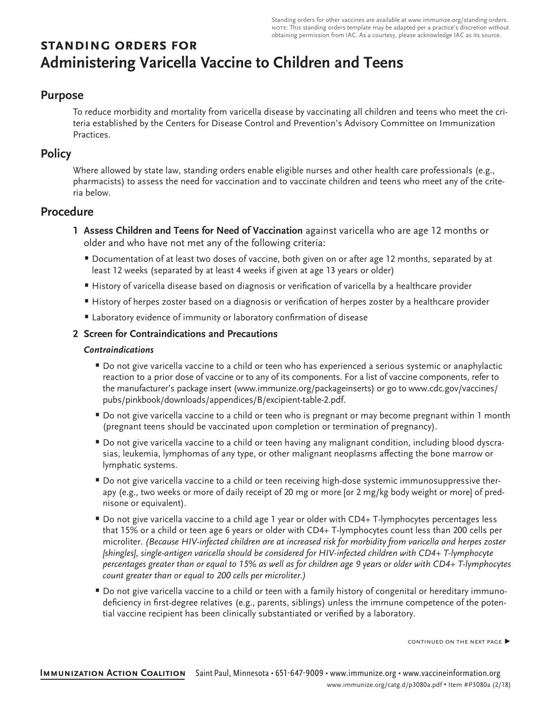Standing orders for other vaccines are available at [www.immunize.org/standing-orders.](http://www.immunize.org/standing-orders) note: This standing orders template may be adapted per a practice's discretion without obtaining permission from IAC. As a courtesy, please acknowledge IAC as its source.

# **standing orders for Administering Varicella Vaccine to Children and Teens**

# **Purpose**

To reduce morbidity and mortality from varicella disease by vaccinating all children and teens who meet the criteria established by the Centers for Disease Control and Prevention's Advisory Committee on Immunization Practices.

# **Policy**

Where allowed by state law, standing orders enable eligible nurses and other health care professionals (e.g., pharmacists) to assess the need for vaccination and to vaccinate children and teens who meet any of the criteria below.

# **Procedure**

- **1 Assess Children and Teens for Need of Vaccination** against varicella who are age 12 months or older and who have not met any of the following criteria:
	- Documentation of at least two doses of vaccine, both given on or after age 12 months, separated by at least 12 weeks (separated by at least 4 weeks if given at age 13 years or older)
	- History of varicella disease based on diagnosis or verification of varicella by a healthcare provider
	- History of herpes zoster based on a diagnosis or verification of herpes zoster by a healthcare provider
	- Laboratory evidence of immunity or laboratory confirmation of disease

## **2 Screen for Contraindications and Precautions**

#### *Contraindications*

- Do not give varicella vaccine to a child or teen who has experienced a serious systemic or anaphylactic reaction to a prior dose of vaccine or to any of its components. For a list of vaccine components, refer to the manufacturer's package insert ([www.immunize.org/packageinserts\)](http://www.immunize.org/packageinserts) or go to [www.cdc.gov/vaccines/](http://www.cdc.gov/vaccines/pubs/pinkbook/downloads/appendices/B/excipient-table-2.pdf) [pubs/pinkbook/downloads/appendices/B/excipient-table-2.pdf.](http://www.cdc.gov/vaccines/pubs/pinkbook/downloads/appendices/B/excipient-table-2.pdf)
- Do not give varicella vaccine to a child or teen who is pregnant or may become pregnant within 1 month (pregnant teens should be vaccinated upon completion or termination of pregnancy).
- Do not give varicella vaccine to a child or teen having any malignant condition, including blood dyscrasias, leukemia, lymphomas of any type, or other malignant neoplasms affecting the bone marrow or lymphatic systems.
- Do not give varicella vaccine to a child or teen receiving high-dose systemic immunosuppressive therapy (e.g., two weeks or more of daily receipt of 20 mg or more [or 2 mg/kg body weight or more] of prednisone or equivalent).
- Do not give varicella vaccine to a child age 1 year or older with CD4+ T-lymphocytes percentages less that 15% or a child or teen age 6 years or older with CD4+ T-lymphocytes count less than 200 cells per microliter. *(Because HIV-infected children are at increased risk for morbidity from varicella and herpes zoster [shingles], single-antigen varicella should be considered for HIV-infected children with CD4+ T-lymphocyte percentages greater than or equal to 15% as well as for children age 9 years or older with CD4+ T-lymphocytes count greater than or equal to 200 cells per microliter.)*
- Do not give varicella vaccine to a child or teen with a family history of congenital or hereditary immunodeficiency in first-degree relatives (e.g., parents, siblings) unless the immune competence of the potential vaccine recipient has been clinically substantiated or verified by a laboratory.

continued on the next page ▶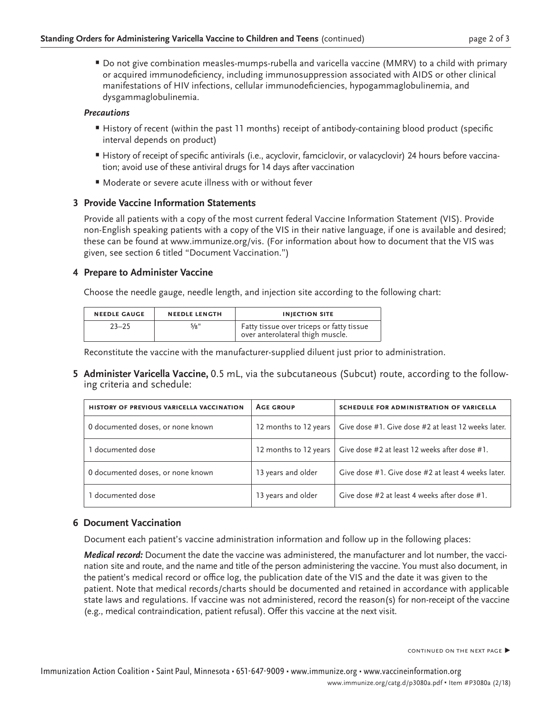• Do not give combination measles-mumps-rubella and varicella vaccine (MMRV) to a child with primary or acquired immunodeficiency, including immunosuppression associated with AIDS or other clinical manifestations of HIV infections, cellular immunodeficiencies, hypogammaglobulinemia, and dysgammaglobulinemia.

#### *Precautions*

- History of recent (within the past 11 months) receipt of antibody-containing blood product (specific interval depends on product)
- History of receipt of specific antivirals (i.e., acyclovir, famciclovir, or valacyclovir) 24 hours before vaccination; avoid use of these antiviral drugs for 14 days after vaccination
- Moderate or severe acute illness with or without fever

#### **3 Provide Vaccine Information Statements**

Provide all patients with a copy of the most current federal Vaccine Information Statement (VIS). Provide non-English speaking patients with a copy of the VIS in their native language, if one is available and desired; these can be found at [www.immunize.org/vis](http://www.immunize.org/vis). (For information about how to document that the VIS was given, see section 6 titled "Document Vaccination.")

#### **4 Prepare to Administer Vaccine**

Choose the needle gauge, needle length, and injection site according to the following chart:

| <b>NEEDLE GAUGE</b> | <b>NEEDLE LENGTH</b> | <b>INJECTION SITE</b>                                                         |
|---------------------|----------------------|-------------------------------------------------------------------------------|
| $23 - 25$           | 5/8"                 | Fatty tissue over triceps or fatty tissue<br>over anterolateral thigh muscle. |

Reconstitute the vaccine with the manufacturer-supplied diluent just prior to administration.

**5 Administer Varicella Vaccine,** 0.5 mL, via the subcutaneous (Subcut) route, according to the following criteria and schedule:

| <b>HISTORY OF PREVIOUS VARICELLA VACCINATION</b> | <b>AGE GROUP</b>      | <b>SCHEDULE FOR ADMINISTRATION OF VARICELLA</b>                             |
|--------------------------------------------------|-----------------------|-----------------------------------------------------------------------------|
| 0 documented doses, or none known                | 12 months to 12 years | Give dose #1. Give dose #2 at least 12 weeks later.                         |
| 1 documented dose                                |                       | 12 months to 12 years $\vert$ Give dose #2 at least 12 weeks after dose #1. |
| 0 documented doses, or none known                | 13 years and older    | Give dose #1. Give dose #2 at least 4 weeks later.                          |
| 1 documented dose                                | 13 years and older    | Give dose #2 at least 4 weeks after dose #1.                                |

## **6 Document Vaccination**

Document each patient's vaccine administration information and follow up in the following places:

*Medical record:* Document the date the vaccine was administered, the manufacturer and lot number, the vaccination site and route, and the name and title of the person administering the vaccine. You must also document, in the patient's medical record or office log, the publication date of the VIS and the date it was given to the patient. Note that medical records/charts should be documented and retained in accordance with applicable state laws and regulations. If vaccine was not administered, record the reason(s) for non-receipt of the vaccine (e.g., medical contraindication, patient refusal). Offer this vaccine at the next visit.